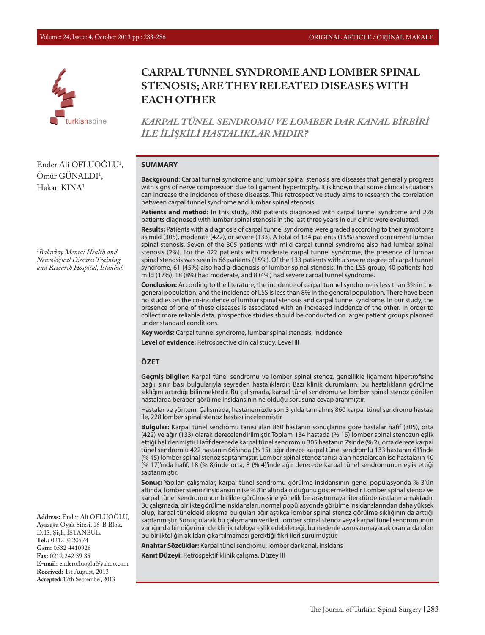

# **CARPAL TUNNEL SYNDROME AND LOMBER SPINAL STENOSIS; ARE THEY RELEATED DISEASES WITH EACH OTHER**

*KARPAL TÜNEL SENDROMU VE LOMBER DAR KANAL BİRBİRİ İLE İLİŞKİLİ HASTALIKLAR MIDIR?*

#### **SUMMARY**

**Background**: Carpal tunnel syndrome and lumbar spinal stenosis are diseases that generally progress with signs of nerve compression due to ligament hypertrophy. It is known that some clinical situations can increase the incidence of these diseases. This retrospective study aims to research the correlation between carpal tunnel syndrome and lumbar spinal stenosis.

Patients and method: In this study, 860 patients diagnosed with carpal tunnel syndrome and 228 patients diagnosed with lumbar spinal stenosis in the last three years in our clinic were evaluated.

**Results:** Patients with a diagnosis of carpal tunnel syndrome were graded according to their symptoms as mild (305), moderate (422), or severe (133). A total of 134 patients (15%) showed concurrent lumbar spinal stenosis. Seven of the 305 patients with mild carpal tunnel syndrome also had lumbar spinal stenosis (2%). For the 422 patients with moderate carpal tunnel syndrome, the presence of lumbar spinal stenosis was seen in 66 patients (15%). Of the 133 patients with a severe degree of carpal tunnel syndrome, 61 (45%) also had a diagnosis of lumbar spinal stenosis. In the LSS group, 40 patients had mild (17%), 18 (8%) had moderate, and 8 (4%) had severe carpal tunnel syndrome.

**Conclusion:** According to the literature, the incidence of carpal tunnel syndrome is less than 3% in the general population, and the incidence of LSS is less than 8% in the general population. There have been no studies on the co-incidence of lumbar spinal stenosis and carpal tunnel syndrome. In our study, the presence of one of these diseases is associated with an increased incidence of the other. In order to collect more reliable data, prospective studies should be conducted on larger patient groups planned under standard conditions.

**Key words:** Carpal tunnel syndrome, lumbar spinal stenosis, incidence

**Level of evidence:** Retrospective clinical study, Level III

#### **ÖZET**

**Geçmiş bilgiler:** Karpal tünel sendromu ve lomber spinal stenoz, genellikle ligament hipertrofisine bağlı sinir bası bulgularıyla seyreden hastalıklardır. Bazı klinik durumların, bu hastalıkların görülme sıklığını artırdığı bilinmektedir. Bu çalışmada, karpal tünel sendromu ve lomber spinal stenoz görülen hastalarda beraber görülme insidansının ne olduğu sorusuna cevap aranmıştır.

Hastalar ve yöntem: Çalışmada, hastanemizde son 3 yılda tanı almış 860 karpal tünel sendromu hastası ile, 228 lomber spinal stenoz hastası incelenmiştir.

**Bulgular:** Karpal tünel sendromu tanısı alan 860 hastanın sonuçlarına göre hastalar hafif (305), orta (422) ve ağır (133) olarak derecelendirilmiştir. Toplam 134 hastada (% 15) lomber spinal stenozun eşlik ettiği belirlenmiştir. Hafif derecede karpal tünel sendromlu 305 hastanın 7'sinde (% 2), orta derece karpal tünel sendromlu 422 hastanın 66'sında (% 15), ağır derece karpal tünel sendromlu 133 hastanın 61'inde (% 45) lomber spinal stenoz saptanmıştır. Lomber spinal stenoz tanısı alan hastalardan ise hastaların 40 (% 17)'ında hafif, 18 (% 8)'inde orta, 8 (% 4)'inde ağır derecede karpal tünel sendromunun eşlik ettiği saptanmıştır.

**Sonuç:** Yapılan çalışmalar, karpal tünel sendromu görülme insidansının genel popülasyonda % 3'ün altında, lomber stenoz insidansının ise % 8'in altında olduğunu göstermektedir. Lomber spinal stenoz ve karpal tünel sendromunun birlikte görülmesine yönelik bir araştırmaya literatürde rastlanmamaktadır. Bu çalışmada, birlikte görülme insidansları, normal popülasyonda görülme insidanslarından daha yüksek olup, karpal tüneldeki sıkışma bulguları ağırlaştıkça lomber spinal stenoz görülme sıklığının da arttığı saptanmıştır. Sonuç olarak bu çalışmanın verileri, lomber spinal stenoz veya karpal tünel sendromunun varlığında bir diğerinin de klinik tabloya eşlik edebileceği, bu nedenle azımsanmayacak oranlarda olan bu birlikteliğin akıldan çıkartılmaması gerektiği fikri ileri sürülmüştür.

**Anahtar Sözcükler:** Karpal tünel sendromu, lomber dar kanal, insidans

**Kanıt Düzeyi:** Retrospektif klinik çalışma, Düzey III

Ender Ali OFLUOĞLU1 , Omür GUNALDI<sup>1</sup>, Hakan KINA1

*1 Bakırköy Mental Health and Neurological Diseases Training and Research Hospital, İstanbul.*

**Address:** Ender Ali OFLUOĞLU, Ayazağa Oyak Sitesi, 16-B Blok, D.13, Şişli, İSTANBUL. **Tel.:** 0212 3320574 **Gsm:** 0532 4410928 **Fax:** 0212 242 39 85 **E-mail:** enderofluoglu@yahoo.com **Received:** 1st August, 2013 **Accepted:** 17th September, 2013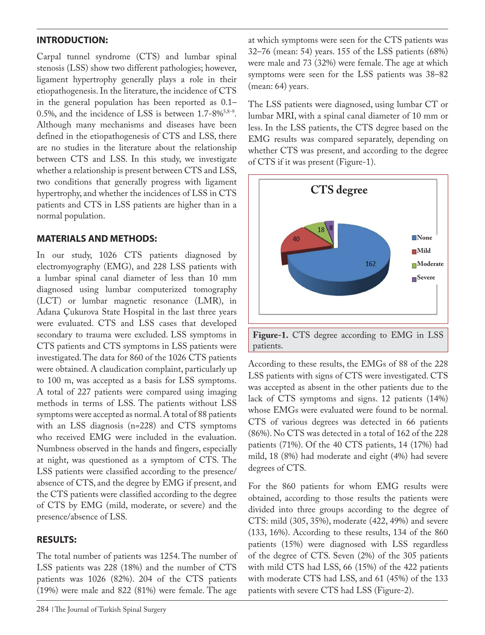## **INTRODUCTION:**

Carpal tunnel syndrome (CTS) and lumbar spinal stenosis (LSS) show two different pathologies; however, ligament hypertrophy generally plays a role in their etiopathogenesis. In the literature, the incidence of CTS in the general population has been reported as 0.1– 0.5%, and the incidence of LSS is between  $1.7$ -8%<sup>5,8-9</sup>. Although many mechanisms and diseases have been defined in the etiopathogenesis of CTS and LSS, there are no studies in the literature about the relationship between CTS and LSS. In this study, we investigate whether a relationship is present between CTS and LSS, two conditions that generally progress with ligament hypertrophy, and whether the incidences of LSS in CTS patients and CTS in LSS patients are higher than in a normal population.

### **MATERIALS AND METHODS:**

In our study, 1026 CTS patients diagnosed by electromyography (EMG), and 228 LSS patients with a lumbar spinal canal diameter of less than 10 mm diagnosed using lumbar computerized tomography (LCT) or lumbar magnetic resonance (LMR), in Adana Çukurova State Hospital in the last three years were evaluated. CTS and LSS cases that developed secondary to trauma were excluded. LSS symptoms in CTS patients and CTS symptoms in LSS patients were investigated. The data for 860 of the 1026 CTS patients were obtained. A claudication complaint, particularly up to 100 m, was accepted as a basis for LSS symptoms. A total of 227 patients were compared using imaging methods in terms of LSS. The patients without LSS symptoms were accepted as normal. A total of 88 patients with an LSS diagnosis (n=228) and CTS symptoms who received EMG were included in the evaluation. Numbness observed in the hands and fingers, especially at night, was questioned as a symptom of CTS. The LSS patients were classified according to the presence/ absence of CTS, and the degree by EMG if present, and the CTS patients were classified according to the degree of CTS by EMG (mild, moderate, or severe) and the presence/absence of LSS.

### **RESULTS:**

The total number of patients was 1254. The number of LSS patients was 228 (18%) and the number of CTS patients was 1026 (82%). 204 of the CTS patients (19%) were male and 822 (81%) were female. The age

at which symptoms were seen for the CTS patients was 32–76 (mean: 54) years. 155 of the LSS patients (68%) were male and 73 (32%) were female. The age at which symptoms were seen for the LSS patients was 38–82 (mean: 64) years.

The LSS patients were diagnosed, using lumbar CT or lumbar MRI, with a spinal canal diameter of 10 mm or less. In the LSS patients, the CTS degree based on the EMG results was compared separately, depending on whether CTS was present, and according to the degree of CTS if it was present (Figure-1).



According to these results, the EMGs of 88 of the 228 LSS patients with signs of CTS were investigated. CTS was accepted as absent in the other patients due to the lack of CTS symptoms and signs. 12 patients (14%) whose EMGs were evaluated were found to be normal. CTS of various degrees was detected in 66 patients (86%). No CTS was detected in a total of 162 of the 228 patients (71%). Of the 40 CTS patients, 14 (17%) had mild, 18 (8%) had moderate and eight (4%) had severe degrees of CTS.

For the 860 patients for whom EMG results were obtained, according to those results the patients were divided into three groups according to the degree of CTS: mild (305, 35%), moderate (422, 49%) and severe (133, 16%). According to these results, 134 of the 860 patients (15%) were diagnosed with LSS regardless of the degree of CTS. Seven (2%) of the 305 patients with mild CTS had LSS, 66 (15%) of the 422 patients with moderate CTS had LSS, and 61 (45%) of the 133 patients with severe CTS had LSS (Figure-2).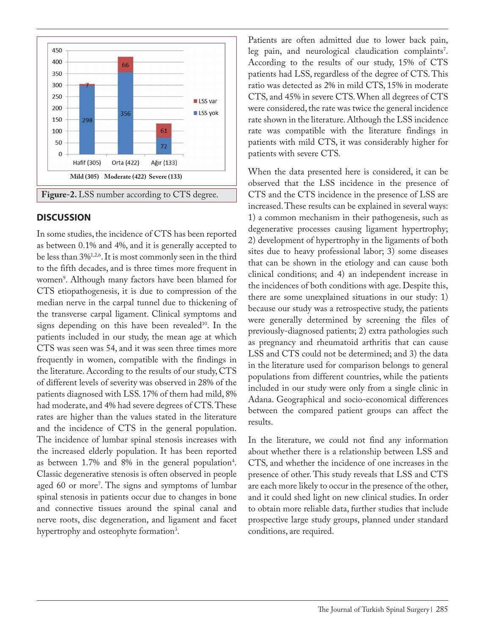

#### **DISCUSSION**

In some studies, the incidence of CTS has been reported as between 0.1% and 4%, and it is generally accepted to be less than 3%1,2,6. It is most commonly seen in the third to the fifth decades, and is three times more frequent in women9 . Although many factors have been blamed for CTS etiopathogenesis, it is due to compression of the median nerve in the carpal tunnel due to thickening of the transverse carpal ligament. Clinical symptoms and signs depending on this have been revealed<sup>10</sup>. In the patients included in our study, the mean age at which CTS was seen was 54, and it was seen three times more frequently in women, compatible with the findings in the literature. According to the results of our study, CTS of different levels of severity was observed in 28% of the patients diagnosed with LSS. 17% of them had mild, 8% had moderate, and 4% had severe degrees of CTS. These rates are higher than the values stated in the literature and the incidence of CTS in the general population. The incidence of lumbar spinal stenosis increases with the increased elderly population. It has been reported as between  $1.7\%$  and  $8\%$  in the general population<sup>4</sup>. Classic degenerative stenosis is often observed in people aged 60 or more<sup>7</sup>. The signs and symptoms of lumbar spinal stenosis in patients occur due to changes in bone and connective tissues around the spinal canal and nerve roots, disc degeneration, and ligament and facet hypertrophy and osteophyte formation<sup>3</sup>.

Patients are often admitted due to lower back pain, leg pain, and neurological claudication complaints'. According to the results of our study, 15% of CTS patients had LSS, regardless of the degree of CTS. This ratio was detected as 2% in mild CTS, 15% in moderate CTS, and 45% in severe CTS. When all degrees of CTS were considered, the rate was twice the general incidence rate shown in the literature. Although the LSS incidence rate was compatible with the literature findings in patients with mild CTS, it was considerably higher for patients with severe CTS.

When the data presented here is considered, it can be observed that the LSS incidence in the presence of CTS and the CTS incidence in the presence of LSS are increased. These results can be explained in several ways: 1) a common mechanism in their pathogenesis, such as degenerative processes causing ligament hypertrophy; 2) development of hypertrophy in the ligaments of both sites due to heavy professional labor; 3) some diseases that can be shown in the etiology and can cause both clinical conditions; and 4) an independent increase in the incidences of both conditions with age. Despite this, there are some unexplained situations in our study: 1) because our study was a retrospective study, the patients were generally determined by screening the files of previously-diagnosed patients; 2) extra pathologies such as pregnancy and rheumatoid arthritis that can cause LSS and CTS could not be determined; and 3) the data in the literature used for comparison belongs to general populations from different countries, while the patients included in our study were only from a single clinic in Adana. Geographical and socio-economical differences between the compared patient groups can affect the results.

In the literature, we could not find any information about whether there is a relationship between LSS and CTS, and whether the incidence of one increases in the presence of other. This study reveals that LSS and CTS are each more likely to occur in the presence of the other, and it could shed light on new clinical studies. In order to obtain more reliable data, further studies that include prospective large study groups, planned under standard conditions, are required.